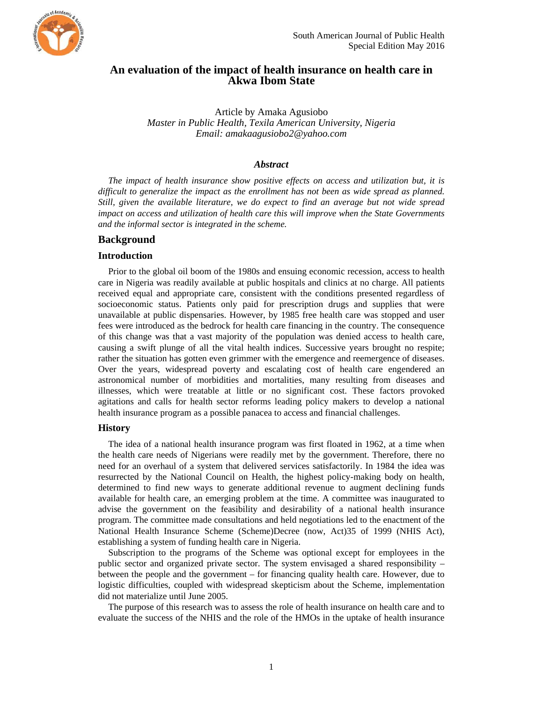

# **An evaluation of the impact of health insurance on health care in Akwa Ibom State**

Article by Amaka Agusiobo *Master in Public Health, Texila American University, Nigeria Email: amakaagusiobo2@yahoo.com* 

## *Abstract*

*The impact of health insurance show positive effects on access and utilization but, it is difficult to generalize the impact as the enrollment has not been as wide spread as planned. Still, given the available literature, we do expect to find an average but not wide spread impact on access and utilization of health care this will improve when the State Governments and the informal sector is integrated in the scheme.* 

### **Background**

### **Introduction**

Prior to the global oil boom of the 1980s and ensuing economic recession, access to health care in Nigeria was readily available at public hospitals and clinics at no charge. All patients received equal and appropriate care, consistent with the conditions presented regardless of socioeconomic status. Patients only paid for prescription drugs and supplies that were unavailable at public dispensaries. However, by 1985 free health care was stopped and user fees were introduced as the bedrock for health care financing in the country. The consequence of this change was that a vast majority of the population was denied access to health care, causing a swift plunge of all the vital health indices. Successive years brought no respite; rather the situation has gotten even grimmer with the emergence and reemergence of diseases. Over the years, widespread poverty and escalating cost of health care engendered an astronomical number of morbidities and mortalities, many resulting from diseases and illnesses, which were treatable at little or no significant cost. These factors provoked agitations and calls for health sector reforms leading policy makers to develop a national health insurance program as a possible panacea to access and financial challenges.

#### **History**

The idea of a national health insurance program was first floated in 1962, at a time when the health care needs of Nigerians were readily met by the government. Therefore, there no need for an overhaul of a system that delivered services satisfactorily. In 1984 the idea was resurrected by the National Council on Health, the highest policy-making body on health, determined to find new ways to generate additional revenue to augment declining funds available for health care, an emerging problem at the time. A committee was inaugurated to advise the government on the feasibility and desirability of a national health insurance program. The committee made consultations and held negotiations led to the enactment of the National Health Insurance Scheme (Scheme)Decree (now, Act)35 of 1999 (NHIS Act), establishing a system of funding health care in Nigeria.

Subscription to the programs of the Scheme was optional except for employees in the public sector and organized private sector. The system envisaged a shared responsibility – between the people and the government – for financing quality health care. However, due to logistic difficulties, coupled with widespread skepticism about the Scheme, implementation did not materialize until June 2005.

The purpose of this research was to assess the role of health insurance on health care and to evaluate the success of the NHIS and the role of the HMOs in the uptake of health insurance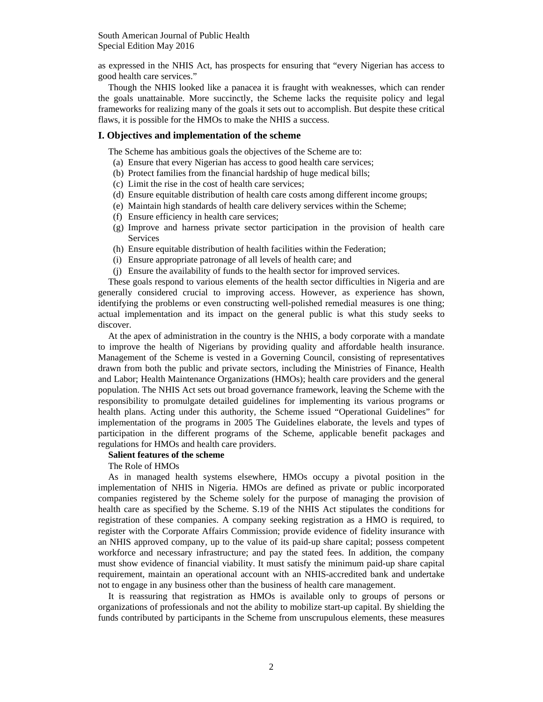as expressed in the NHIS Act, has prospects for ensuring that "every Nigerian has access to good health care services."

Though the NHIS looked like a panacea it is fraught with weaknesses, which can render the goals unattainable. More succinctly, the Scheme lacks the requisite policy and legal frameworks for realizing many of the goals it sets out to accomplish. But despite these critical flaws, it is possible for the HMOs to make the NHIS a success.

## **I. Objectives and implementation of the scheme**

The Scheme has ambitious goals the objectives of the Scheme are to:

- (a) Ensure that every Nigerian has access to good health care services;
- (b) Protect families from the financial hardship of huge medical bills;
- (c) Limit the rise in the cost of health care services;
- (d) Ensure equitable distribution of health care costs among different income groups;
- (e) Maintain high standards of health care delivery services within the Scheme;
- (f) Ensure efficiency in health care services;
- (g) Improve and harness private sector participation in the provision of health care Services
- (h) Ensure equitable distribution of health facilities within the Federation;
- (i) Ensure appropriate patronage of all levels of health care; and
- (j) Ensure the availability of funds to the health sector for improved services.

These goals respond to various elements of the health sector difficulties in Nigeria and are generally considered crucial to improving access. However, as experience has shown, identifying the problems or even constructing well-polished remedial measures is one thing; actual implementation and its impact on the general public is what this study seeks to discover.

At the apex of administration in the country is the NHIS, a body corporate with a mandate to improve the health of Nigerians by providing quality and affordable health insurance. Management of the Scheme is vested in a Governing Council, consisting of representatives drawn from both the public and private sectors, including the Ministries of Finance, Health and Labor; Health Maintenance Organizations (HMOs); health care providers and the general population. The NHIS Act sets out broad governance framework, leaving the Scheme with the responsibility to promulgate detailed guidelines for implementing its various programs or health plans. Acting under this authority, the Scheme issued "Operational Guidelines" for implementation of the programs in 2005 The Guidelines elaborate, the levels and types of participation in the different programs of the Scheme, applicable benefit packages and regulations for HMOs and health care providers.

#### **Salient features of the scheme**

#### The Role of HMOs

As in managed health systems elsewhere, HMOs occupy a pivotal position in the implementation of NHIS in Nigeria. HMOs are defined as private or public incorporated companies registered by the Scheme solely for the purpose of managing the provision of health care as specified by the Scheme. S.19 of the NHIS Act stipulates the conditions for registration of these companies. A company seeking registration as a HMO is required*,* to register with the Corporate Affairs Commission; provide evidence of fidelity insurance with an NHIS approved company, up to the value of its paid-up share capital; possess competent workforce and necessary infrastructure; and pay the stated fees. In addition, the company must show evidence of financial viability. It must satisfy the minimum paid-up share capital requirement, maintain an operational account with an NHIS-accredited bank and undertake not to engage in any business other than the business of health care management.

It is reassuring that registration as HMOs is available only to groups of persons or organizations of professionals and not the ability to mobilize start-up capital. By shielding the funds contributed by participants in the Scheme from unscrupulous elements, these measures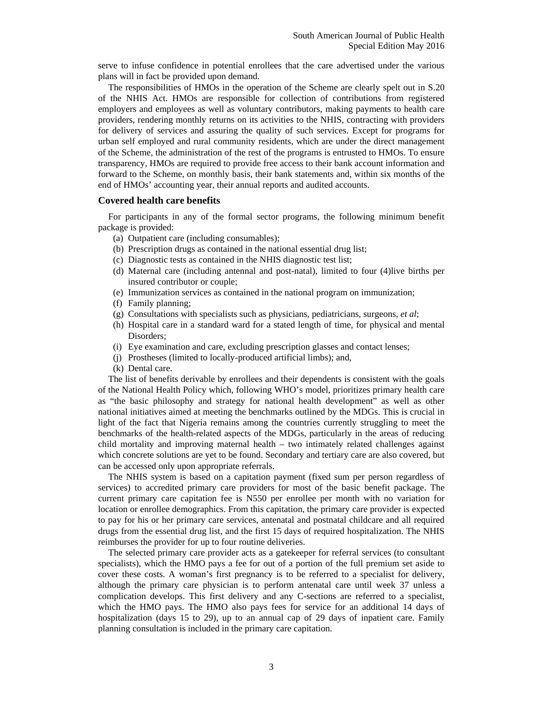serve to infuse confidence in potential enrollees that the care advertised under the various plans will in fact be provided upon demand.

The responsibilities of HMOs in the operation of the Scheme are clearly spelt out in S.20 of the NHIS Act. HMOs are responsible for collection of contributions from registered employers and employees as well as voluntary contributors, making payments to health care providers, rendering monthly returns on its activities to the NHIS, contracting with providers for delivery of services and assuring the quality of such services. Except for programs for urban self employed and rural community residents, which are under the direct management of the Scheme, the administration of the rest of the programs is entrusted to HMOs. To ensure transparency, HMOs are required to provide free access to their bank account information and forward to the Scheme, on monthly basis, their bank statements and, within six months of the end of HMOs' accounting year, their annual reports and audited accounts.

#### **Covered health care benefits**

For participants in any of the formal sector programs, the following minimum benefit package is provided:

- (a) Outpatient care (including consumables);
- (b) Prescription drugs as contained in the national essential drug list;
- (c) Diagnostic tests as contained in the NHIS diagnostic test list;
- (d) Maternal care (including antennal and post-natal), limited to four (4)live births per insured contributor or couple;
- (e) Immunization services as contained in the national program on immunization;
- (f) Family planning;
- (g) Consultations with specialists such as physicians, pediatricians, surgeons, *et al*;
- (h) Hospital care in a standard ward for a stated length of time, for physical and mental Disorders;
- (i) Eye examination and care, excluding prescription glasses and contact lenses;
- (j) Prostheses (limited to locally-produced artificial limbs); and,
- (k) Dental care.

The list of benefits derivable by enrollees and their dependents is consistent with the goals of the National Health Policy which, following WHO's model, prioritizes primary health care as "the basic philosophy and strategy for national health development" as well as other national initiatives aimed at meeting the benchmarks outlined by the MDGs. This is crucial in light of the fact that Nigeria remains among the countries currently struggling to meet the benchmarks of the health-related aspects of the MDGs, particularly in the areas of reducing child mortality and improving maternal health – two intimately related challenges against which concrete solutions are yet to be found. Secondary and tertiary care are also covered, but can be accessed only upon appropriate referrals.

The NHIS system is based on a capitation payment (fixed sum per person regardless of services) to accredited primary care providers for most of the basic benefit package. The current primary care capitation fee is N550 per enrollee per month with no variation for location or enrollee demographics. From this capitation, the primary care provider is expected to pay for his or her primary care services, antenatal and postnatal childcare and all required drugs from the essential drug list, and the first 15 days of required hospitalization. The NHIS reimburses the provider for up to four routine deliveries.

The selected primary care provider acts as a gatekeeper for referral services (to consultant specialists), which the HMO pays a fee for out of a portion of the full premium set aside to cover these costs. A woman's first pregnancy is to be referred to a specialist for delivery, although the primary care physician is to perform antenatal care until week 37 unless a complication develops. This first delivery and any C-sections are referred to a specialist, which the HMO pays. The HMO also pays fees for service for an additional 14 days of hospitalization (days 15 to 29), up to an annual cap of 29 days of inpatient care. Family planning consultation is included in the primary care capitation.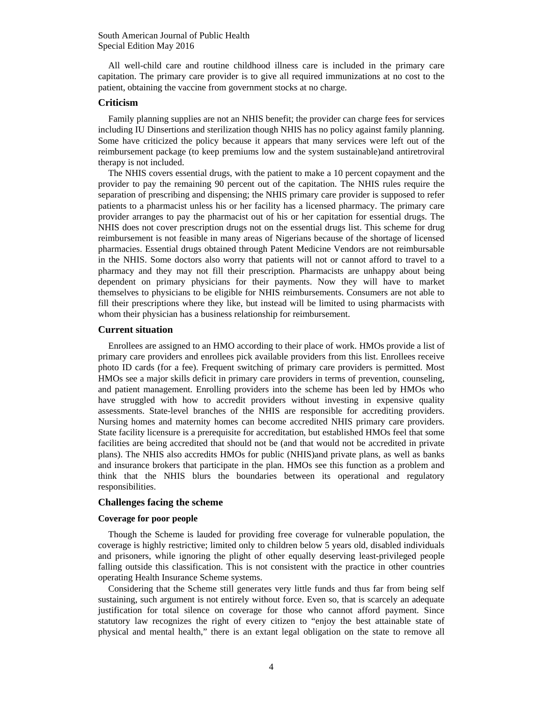All well-child care and routine childhood illness care is included in the primary care capitation. The primary care provider is to give all required immunizations at no cost to the patient, obtaining the vaccine from government stocks at no charge.

## **Criticism**

Family planning supplies are not an NHIS benefit; the provider can charge fees for services including IU Dinsertions and sterilization though NHIS has no policy against family planning. Some have criticized the policy because it appears that many services were left out of the reimbursement package (to keep premiums low and the system sustainable)and antiretroviral therapy is not included.

The NHIS covers essential drugs, with the patient to make a 10 percent copayment and the provider to pay the remaining 90 percent out of the capitation. The NHIS rules require the separation of prescribing and dispensing; the NHIS primary care provider is supposed to refer patients to a pharmacist unless his or her facility has a licensed pharmacy. The primary care provider arranges to pay the pharmacist out of his or her capitation for essential drugs. The NHIS does not cover prescription drugs not on the essential drugs list. This scheme for drug reimbursement is not feasible in many areas of Nigerians because of the shortage of licensed pharmacies. Essential drugs obtained through Patent Medicine Vendors are not reimbursable in the NHIS. Some doctors also worry that patients will not or cannot afford to travel to a pharmacy and they may not fill their prescription. Pharmacists are unhappy about being dependent on primary physicians for their payments. Now they will have to market themselves to physicians to be eligible for NHIS reimbursements. Consumers are not able to fill their prescriptions where they like, but instead will be limited to using pharmacists with whom their physician has a business relationship for reimbursement.

#### **Current situation**

Enrollees are assigned to an HMO according to their place of work. HMOs provide a list of primary care providers and enrollees pick available providers from this list. Enrollees receive photo ID cards (for a fee). Frequent switching of primary care providers is permitted. Most HMOs see a major skills deficit in primary care providers in terms of prevention, counseling, and patient management. Enrolling providers into the scheme has been led by HMOs who have struggled with how to accredit providers without investing in expensive quality assessments. State-level branches of the NHIS are responsible for accrediting providers. Nursing homes and maternity homes can become accredited NHIS primary care providers. State facility licensure is a prerequisite for accreditation, but established HMOs feel that some facilities are being accredited that should not be (and that would not be accredited in private plans). The NHIS also accredits HMOs for public (NHIS)and private plans, as well as banks and insurance brokers that participate in the plan. HMOs see this function as a problem and think that the NHIS blurs the boundaries between its operational and regulatory responsibilities.

#### **Challenges facing the scheme**

#### **Coverage for poor people**

Though the Scheme is lauded for providing free coverage for vulnerable population, the coverage is highly restrictive; limited only to children below 5 years old, disabled individuals and prisoners, while ignoring the plight of other equally deserving least-privileged people falling outside this classification. This is not consistent with the practice in other countries operating Health Insurance Scheme systems.

Considering that the Scheme still generates very little funds and thus far from being self sustaining, such argument is not entirely without force. Even so, that is scarcely an adequate justification for total silence on coverage for those who cannot afford payment. Since statutory law recognizes the right of every citizen to "enjoy the best attainable state of physical and mental health," there is an extant legal obligation on the state to remove all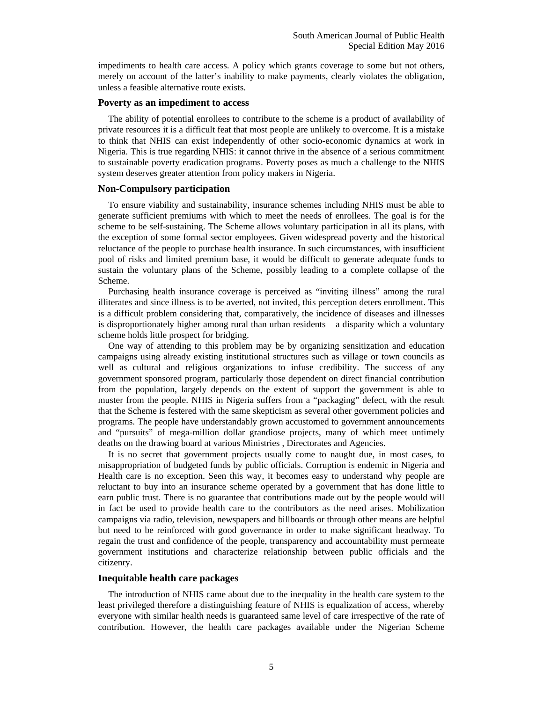impediments to health care access. A policy which grants coverage to some but not others, merely on account of the latter's inability to make payments, clearly violates the obligation, unless a feasible alternative route exists.

#### **Poverty as an impediment to access**

The ability of potential enrollees to contribute to the scheme is a product of availability of private resources it is a difficult feat that most people are unlikely to overcome. It is a mistake to think that NHIS can exist independently of other socio-economic dynamics at work in Nigeria. This is true regarding NHIS: it cannot thrive in the absence of a serious commitment to sustainable poverty eradication programs. Poverty poses as much a challenge to the NHIS system deserves greater attention from policy makers in Nigeria.

## **Non-Compulsory participation**

To ensure viability and sustainability, insurance schemes including NHIS must be able to generate sufficient premiums with which to meet the needs of enrollees. The goal is for the scheme to be self-sustaining. The Scheme allows voluntary participation in all its plans, with the exception of some formal sector employees. Given widespread poverty and the historical reluctance of the people to purchase health insurance. In such circumstances, with insufficient pool of risks and limited premium base, it would be difficult to generate adequate funds to sustain the voluntary plans of the Scheme, possibly leading to a complete collapse of the Scheme.

Purchasing health insurance coverage is perceived as "inviting illness" among the rural illiterates and since illness is to be averted, not invited, this perception deters enrollment. This is a difficult problem considering that, comparatively, the incidence of diseases and illnesses is disproportionately higher among rural than urban residents – a disparity which a voluntary scheme holds little prospect for bridging.

One way of attending to this problem may be by organizing sensitization and education campaigns using already existing institutional structures such as village or town councils as well as cultural and religious organizations to infuse credibility. The success of any government sponsored program, particularly those dependent on direct financial contribution from the population, largely depends on the extent of support the government is able to muster from the people. NHIS in Nigeria suffers from a "packaging" defect, with the result that the Scheme is festered with the same skepticism as several other government policies and programs. The people have understandably grown accustomed to government announcements and "pursuits" of mega-million dollar grandiose projects, many of which meet untimely deaths on the drawing board at various Ministries , Directorates and Agencies.

It is no secret that government projects usually come to naught due, in most cases, to misappropriation of budgeted funds by public officials. Corruption is endemic in Nigeria and Health care is no exception. Seen this way, it becomes easy to understand why people are reluctant to buy into an insurance scheme operated by a government that has done little to earn public trust. There is no guarantee that contributions made out by the people would will in fact be used to provide health care to the contributors as the need arises. Mobilization campaigns via radio, television, newspapers and billboards or through other means are helpful but need to be reinforced with good governance in order to make significant headway. To regain the trust and confidence of the people, transparency and accountability must permeate government institutions and characterize relationship between public officials and the citizenry.

#### **Inequitable health care packages**

The introduction of NHIS came about due to the inequality in the health care system to the least privileged therefore a distinguishing feature of NHIS is equalization of access, whereby everyone with similar health needs is guaranteed same level of care irrespective of the rate of contribution. However, the health care packages available under the Nigerian Scheme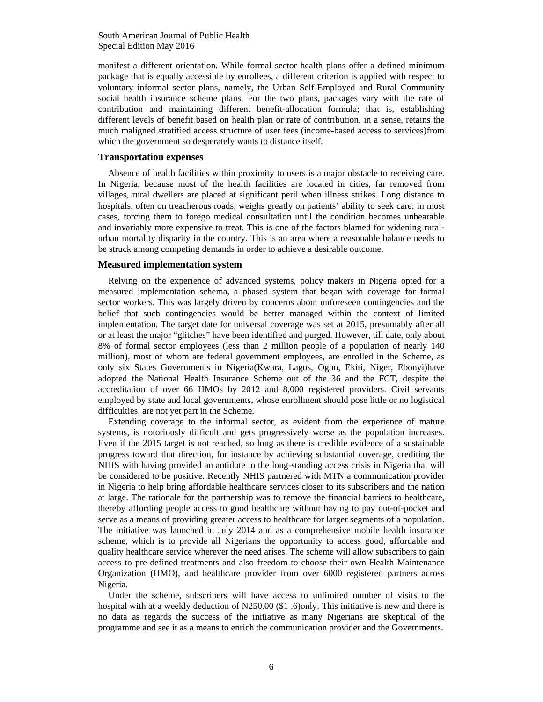manifest a different orientation. While formal sector health plans offer a defined minimum package that is equally accessible by enrollees, a different criterion is applied with respect to voluntary informal sector plans, namely, the Urban Self-Employed and Rural Community social health insurance scheme plans. For the two plans, packages vary with the rate of contribution and maintaining different benefit-allocation formula; that is, establishing different levels of benefit based on health plan or rate of contribution, in a sense, retains the much maligned stratified access structure of user fees (income-based access to services)from which the government so desperately wants to distance itself.

## **Transportation expenses**

Absence of health facilities within proximity to users is a major obstacle to receiving care. In Nigeria, because most of the health facilities are located in cities, far removed from villages, rural dwellers are placed at significant peril when illness strikes. Long distance to hospitals, often on treacherous roads, weighs greatly on patients' ability to seek care; in most cases, forcing them to forego medical consultation until the condition becomes unbearable and invariably more expensive to treat. This is one of the factors blamed for widening ruralurban mortality disparity in the country. This is an area where a reasonable balance needs to be struck among competing demands in order to achieve a desirable outcome.

### **Measured implementation system**

Relying on the experience of advanced systems, policy makers in Nigeria opted for a measured implementation schema, a phased system that began with coverage for formal sector workers. This was largely driven by concerns about unforeseen contingencies and the belief that such contingencies would be better managed within the context of limited implementation. The target date for universal coverage was set at 2015, presumably after all or at least the major "glitches" have been identified and purged. However, till date, only about 8% of formal sector employees (less than 2 million people of a population of nearly 140 million), most of whom are federal government employees, are enrolled in the Scheme, as only six States Governments in Nigeria(Kwara, Lagos, Ogun, Ekiti, Niger, Ebonyi)have adopted the National Health Insurance Scheme out of the 36 and the FCT, despite the accreditation of over 66 HMOs by 2012 and 8,000 registered providers. Civil servants employed by state and local governments, whose enrollment should pose little or no logistical difficulties, are not yet part in the Scheme.

Extending coverage to the informal sector, as evident from the experience of mature systems, is notoriously difficult and gets progressively worse as the population increases. Even if the 2015 target is not reached, so long as there is credible evidence of a sustainable progress toward that direction, for instance by achieving substantial coverage, crediting the NHIS with having provided an antidote to the long-standing access crisis in Nigeria that will be considered to be positive. Recently NHIS partnered with MTN a communication provider in Nigeria to help bring affordable healthcare services closer to its subscribers and the nation at large. The rationale for the partnership was to remove the financial barriers to healthcare, thereby affording people access to good healthcare without having to pay out-of-pocket and serve as a means of providing greater access to healthcare for larger segments of a population. The initiative was launched in July 2014 and as a comprehensive mobile health insurance scheme, which is to provide all Nigerians the opportunity to access good, affordable and quality healthcare service wherever the need arises. The scheme will allow subscribers to gain access to pre-defined treatments and also freedom to choose their own Health Maintenance Organization (HMO), and healthcare provider from over 6000 registered partners across Nigeria.

Under the scheme, subscribers will have access to unlimited number of visits to the hospital with at a weekly deduction of N250.00 (\$1.6) only. This initiative is new and there is no data as regards the success of the initiative as many Nigerians are skeptical of the programme and see it as a means to enrich the communication provider and the Governments.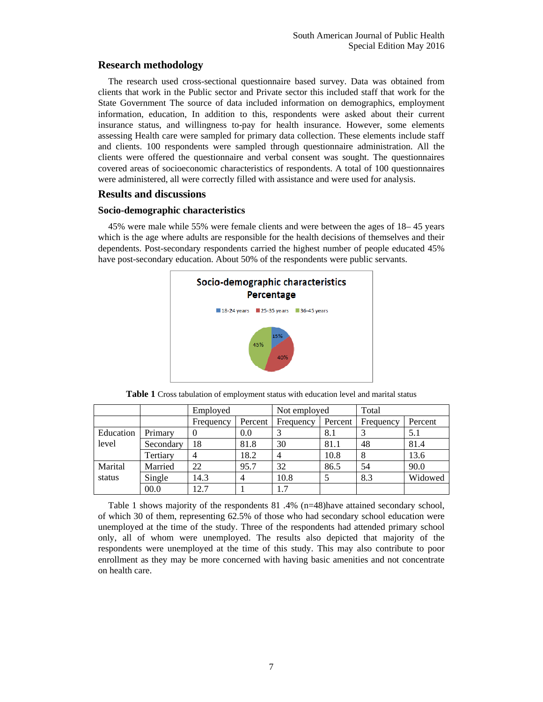# **Research methodology**

The research used cross-sectional questionnaire based survey. Data was obtained from clients that work in the Public sector and Private sector this included staff that work for the State Government The source of data included information on demographics, employment information, education, In addition to this, respondents were asked about their current insurance status, and willingness to-pay for health insurance. However, some elements assessing Health care were sampled for primary data collection. These elements include staff and clients. 100 respondents were sampled through questionnaire administration. All the clients were offered the questionnaire and verbal consent was sought. The questionnaires covered areas of socioeconomic characteristics of respondents. A total of 100 questionnaires were administered, all were correctly filled with assistance and were used for analysis.

# **Results and discussions**

## **Socio-demographic characteristics**

45% were male while 55% were female clients and were between the ages of 18– 45 years which is the age where adults are responsible for the health decisions of themselves and their dependents. Post-secondary respondents carried the highest number of people educated 45% have post-secondary education. About 50% of the respondents were public servants.



**Table 1** Cross tabulation of employment status with education level and marital status

|           |           | Employed  |         | Not employed |         | Total     |         |
|-----------|-----------|-----------|---------|--------------|---------|-----------|---------|
|           |           | Frequency | Percent | Frequency    | Percent | Frequency | Percent |
| Education | Primary   | O         | 0.0     |              | 8.1     |           | 5.1     |
| level     | Secondary | 18        | 81.8    | 30           | 81.1    | 48        | 81.4    |
|           | Tertiary  |           | 18.2    |              | 10.8    | 8         | 13.6    |
| Marital   | Married   | 22        | 95.7    | 32           | 86.5    | 54        | 90.0    |
| status    | Single    | 14.3      | 4       | 10.8         |         | 8.3       | Widowed |
|           | 00.0      | 12.7      |         | 1.7          |         |           |         |

Table 1 shows majority of the respondents 81 .4% (n=48)have attained secondary school, of which 30 of them, representing 62.5% of those who had secondary school education were unemployed at the time of the study. Three of the respondents had attended primary school only, all of whom were unemployed. The results also depicted that majority of the respondents were unemployed at the time of this study. This may also contribute to poor enrollment as they may be more concerned with having basic amenities and not concentrate on health care.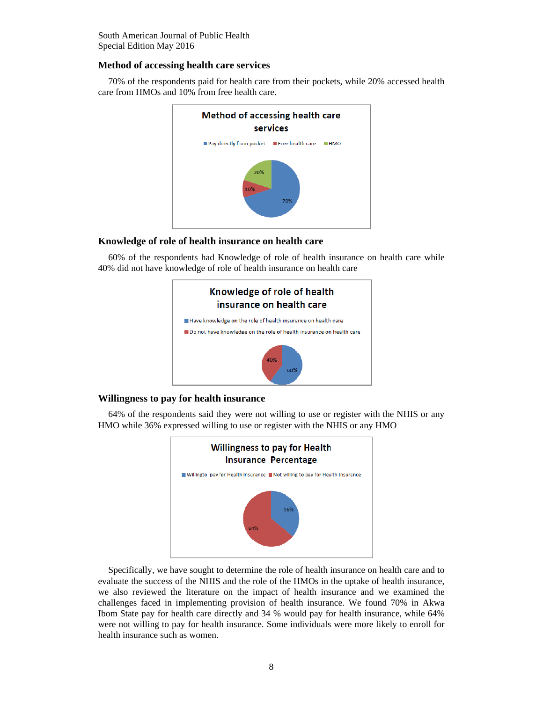## **Method of accessing health care services**

70% of the respondents paid for health care from their pockets, while 20% accessed health care from HMOs and 10% from free health care.



## **Knowledge of role of health insurance on health care**

60% of the respondents had Knowledge of role of health insurance on health care while 40% did not have knowledge of role of health insurance on health care



## **Willingness to pay for health insurance**

64% of the respondents said they were not willing to use or register with the NHIS or any HMO while 36% expressed willing to use or register with the NHIS or any HMO



Specifically, we have sought to determine the role of health insurance on health care and to evaluate the success of the NHIS and the role of the HMOs in the uptake of health insurance, we also reviewed the literature on the impact of health insurance and we examined the challenges faced in implementing provision of health insurance. We found 70% in Akwa Ibom State pay for health care directly and 34 % would pay for health insurance, while 64% were not willing to pay for health insurance. Some individuals were more likely to enroll for health insurance such as women.